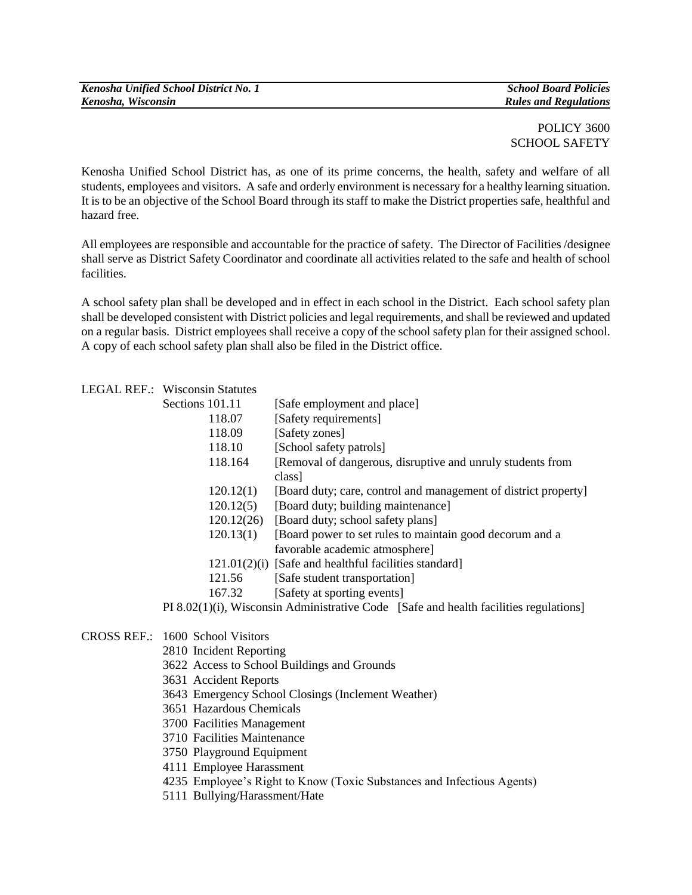| Kenosha Unified School District No. 1 |
|---------------------------------------|
| Kenosha, Wisconsin                    |

*Kenosha Unified School District No. 1 School Board Policies Kenosha, Wisconsin Rules and Regulations*

POLICY 3600 SCHOOL SAFETY

Kenosha Unified School District has, as one of its prime concerns, the health, safety and welfare of all students, employees and visitors. A safe and orderly environment is necessary for a healthy learning situation. It is to be an objective of the School Board through its staff to make the District properties safe, healthful and hazard free.

All employees are responsible and accountable for the practice of safety. The Director of Facilities /designee shall serve as District Safety Coordinator and coordinate all activities related to the safe and health of school facilities.

A school safety plan shall be developed and in effect in each school in the District. Each school safety plan shall be developed consistent with District policies and legal requirements, and shall be reviewed and updated on a regular basis. District employees shall receive a copy of the school safety plan for their assigned school. A copy of each school safety plan shall also be filed in the District office.

## LEGAL REF.: Wisconsin Statutes

| Sections 101.11                                                                                                         |            | [Safe employment and place]                                                                                                                                                                                                                                                                                 |
|-------------------------------------------------------------------------------------------------------------------------|------------|-------------------------------------------------------------------------------------------------------------------------------------------------------------------------------------------------------------------------------------------------------------------------------------------------------------|
|                                                                                                                         | 118.07     | [Safety requirements]                                                                                                                                                                                                                                                                                       |
|                                                                                                                         | 118.09     | [Safety zones]                                                                                                                                                                                                                                                                                              |
|                                                                                                                         | 118.10     | [School safety patrols]                                                                                                                                                                                                                                                                                     |
|                                                                                                                         | 118.164    | [Removal of dangerous, disruptive and unruly students from                                                                                                                                                                                                                                                  |
|                                                                                                                         |            | class]                                                                                                                                                                                                                                                                                                      |
|                                                                                                                         | 120.12(1)  | [Board duty; care, control and management of district property]                                                                                                                                                                                                                                             |
|                                                                                                                         | 120.12(5)  | [Board duty; building maintenance]                                                                                                                                                                                                                                                                          |
|                                                                                                                         | 120.12(26) | [Board duty; school safety plans]                                                                                                                                                                                                                                                                           |
|                                                                                                                         | 120.13(1)  | [Board power to set rules to maintain good decorum and a                                                                                                                                                                                                                                                    |
|                                                                                                                         |            | favorable academic atmosphere]                                                                                                                                                                                                                                                                              |
|                                                                                                                         |            | $121.01(2)(i)$ [Safe and healthful facilities standard]                                                                                                                                                                                                                                                     |
|                                                                                                                         | 121.56     | [Safe student transportation]                                                                                                                                                                                                                                                                               |
|                                                                                                                         | 167.32     | [Safety at sporting events]                                                                                                                                                                                                                                                                                 |
| $\mathbf{D}$ to $\mathbf{A}$ $\mathbf{A}$ $\mathbf{A}$ $\mathbf{A}$ $\mathbf{A}$ $\mathbf{A}$ $\mathbf{A}$ $\mathbf{A}$ |            | $\mathbf{1}$ , $\mathbf{1}$ , $\mathbf{1}$ , $\mathbf{1}$ , $\mathbf{1}$ , $\mathbf{1}$ , $\mathbf{1}$ , $\mathbf{1}$ , $\mathbf{1}$ , $\mathbf{1}$ , $\mathbf{1}$ , $\mathbf{1}$ , $\mathbf{1}$ , $\mathbf{1}$ , $\mathbf{1}$ , $\mathbf{1}$ , $\mathbf{1}$ , $\mathbf{1}$ , $\mathbf{1}$ , $\mathbf{1}$ , |

PI 8.02(1)(i), Wisconsin Administrative Code [Safe and health facilities regulations]

## CROSS REF.: 1600 School Visitors

- 2810 Incident Reporting
- 3622 Access to School Buildings and Grounds
- 3631 Accident Reports
- 3643 Emergency School Closings (Inclement Weather)
- 3651 Hazardous Chemicals
- 3700 Facilities Management
- 3710 Facilities Maintenance
- 3750 Playground Equipment
- 4111 Employee Harassment
- 4235 Employee's Right to Know (Toxic Substances and Infectious Agents)
- 5111 Bullying/Harassment/Hate